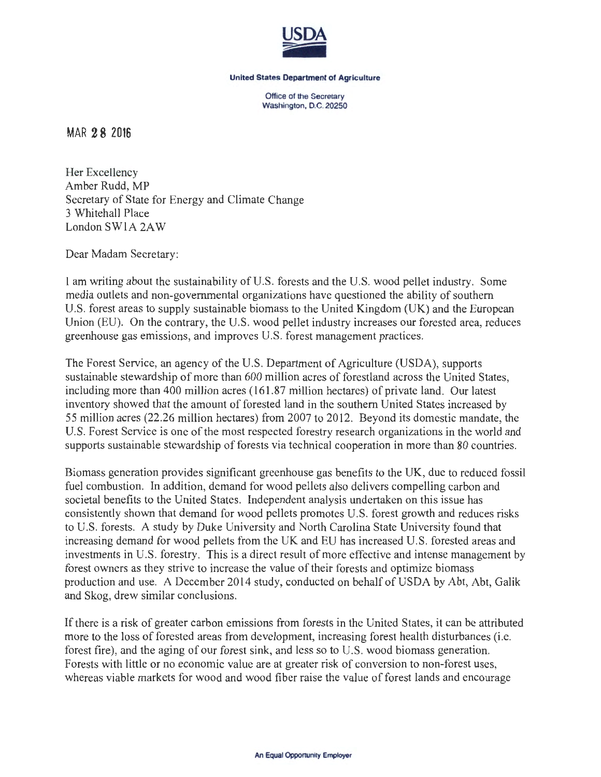

## United States Department of Agriculture

Office of the Secretary Washington, D.C. 20250

MAR 2 8 2016

Her Excellency Amber Rudd, MP Secretary of State for Energy and Climate Change 3 Whitehall Place London SWlA 2A W

Dear Madam Secretary:

I am writing about the sustainability of U.S. forests and the U.S. wood pellet industry. Some media outlets and non-governmental organizations have questioned the ability of southern U.S. forest areas to supply sustainable biomass to the United Kingdom (UK) and the European Union (EU). On the contrary, the U.S. wood pellet industry increases our forested area, reduces greenhouse gas emissions, and improves U.S. forest management practices.

The Forest Service, an agency of the U.S. Department of Agriculture (USDA), supports sustainable stewardship of more than 600 million acres of forestland across the United States, including more than 400 million acres (161.87 million hectares) of private land. Our latest inventory showed that the amount of forested land in the southern United States increased by 55 million acres (22.26 million hectares) from 2007 to 2012. Beyond its domestic mandate, the U.S. Forest Service is one of the most respected forestry research organizations in the world and supports sustainable stewardship of forests via technical cooperation in more than 80 countries.

Biomass generation provides significant greenhouse gas benefits to the UK, due to reduced fossil fuel combustion. In addition, demand for wood pellets also delivers compelling carbon and societal benefits to the United States. Independent analysis undertaken on this issue has consistently shown that demand for wood pellets promotes U.S. forest growth and reduces risks to U.S. forests. A study by Duke University and North Carolina State University found that increasing demand for wood pellets from the UK and EU has increased U.S. forested areas and investments in U.S. forestry. This is a direct result of more effective and intense management by forest owners as they strive to increase the value of their forests and optimize biomass production and use. A December 2014 study, conducted on behalf of USDA by Abt, Abt, Galik and Skog, drew similar conclusions.

If there is a risk of greater carbon emissions from forests in the United States, it can be attributed more to the loss of forested areas from development, increasing forest health disturbances (i.e. forest fire), and the aging of our forest sink, and less so to U.S. wood biomass generation. Forests with little or no economic value are at greater risk of conversion to non-forest uses, whereas viable markets for wood and wood fiber raise the value of forest lands and encourage